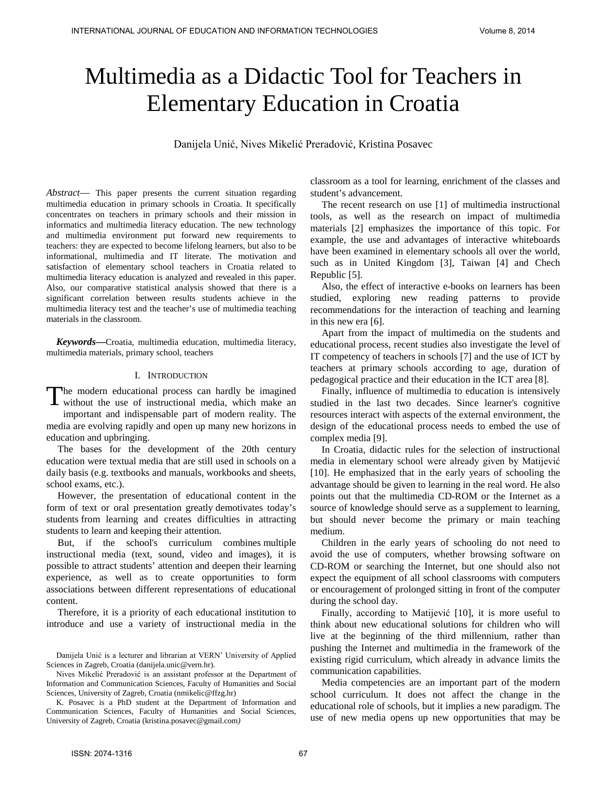# Multimedia as a Didactic Tool for Teachers in Elementary Education in Croatia

Danijela Unić, Nives Mikelić Preradović, Kristina Posavec

*Abstract*— This paper presents the current situation regarding multimedia education in primary schools in Croatia. It specifically concentrates on teachers in primary schools and their mission in informatics and multimedia literacy education. The new technology and multimedia environment put forward new requirements to teachers: they are expected to become lifelong learners, but also to be informational, multimedia and IT literate. The motivation and satisfaction of elementary school teachers in Croatia related to multimedia literacy education is analyzed and revealed in this paper. Also, our comparative statistical analysis showed that there is a significant correlation between results students achieve in the multimedia literacy test and the teacher's use of multimedia teaching materials in the classroom.

*Keywords***—**Croatia, multimedia education, multimedia literacy, multimedia materials, primary school, teachers

#### I. INTRODUCTION

The modern educational process can hardly be imagined The modern educational process can hardly be imagined<br>without the use of instructional media, which make an important and indispensable part of modern reality. The media are evolving rapidly and open up many new horizons in education and upbringing.

The bases for the development of the 20th century education were textual media that are still used in schools on a daily basis (e.g. textbooks and manuals, workbooks and sheets, school exams, etc.).

However, the presentation of educational content in the form of text or oral presentation greatly demotivates today's students from learning and creates difficulties in attracting students to learn and keeping their attention.

But, if the school's curriculum combines multiple instructional media (text, sound, video and images), it is possible to attract students' attention and deepen their learning experience, as well as to create opportunities to form associations between different representations of educational content.

Therefore, it is a priority of each educational institution to introduce and use a variety of instructional media in the classroom as a tool for learning, enrichment of the classes and student's advancement.

The recent research on use [1] of multimedia instructional tools, as well as the research on impact of multimedia materials [2] emphasizes the importance of this topic. For example, the use and advantages of interactive whiteboards have been examined in elementary schools all over the world, such as in United Kingdom [3], Taiwan [4] and Chech Republic [5].

Also, the effect of interactive e-books on learners has been studied, exploring new reading patterns to provide recommendations for the interaction of teaching and learning in this new era [6].

Apart from the impact of multimedia on the students and educational process, recent studies also investigate the level of IT competency of teachers in schools [7] and the use of ICT by teachers at primary schools according to age, duration of pedagogical practice and their education in the ICT area [8].

Finally, influence of multimedia to education is intensively studied in the last two decades. Since learner's cognitive resources interact with aspects of the external environment, the design of the educational process needs to embed the use of complex media [9].

In Croatia, didactic rules for the selection of instructional media in elementary school were already given by Matijević [10]. He emphasized that in the early years of schooling the advantage should be given to learning in the real word. He also points out that the multimedia CD-ROM or the Internet as a source of knowledge should serve as a supplement to learning, but should never become the primary or main teaching medium.

Children in the early years of schooling do not need to avoid the use of computers, whether browsing software on CD-ROM or searching the Internet, but one should also not expect the equipment of all school classrooms with computers or encouragement of prolonged sitting in front of the computer during the school day.

Finally, according to Matijević [10], it is more useful to think about new educational solutions for children who will live at the beginning of the third millennium, rather than pushing the Internet and multimedia in the framework of the existing rigid curriculum, which already in advance limits the communication capabilities.

Media competencies are an important part of the modern school curriculum. It does not affect the change in the educational role of schools, but it implies a new paradigm. The use of new media opens up new opportunities that may be

Danijela Unić is a lecturer and librarian at VERN' University of Applied Sciences in Zagreb, Croatia [\(danijela.unic@vern.hr\)](mailto:danijela.unic@vern.hr).

Nives Mikelić Preradović is an assistant professor at the Department of Information and Communication Sciences, Faculty of Humanities and Social Sciences, University of Zagreb, Croatia (nmikelic@ffzg.hr)

K. Posavec is a PhD student at the Department of Information and Communication Sciences, Faculty of Humanities and Social Sciences, University of Zagreb, Croatia [\(kristina.posavec@gmail.com](mailto:kristina.posavec@gmail.com)*)*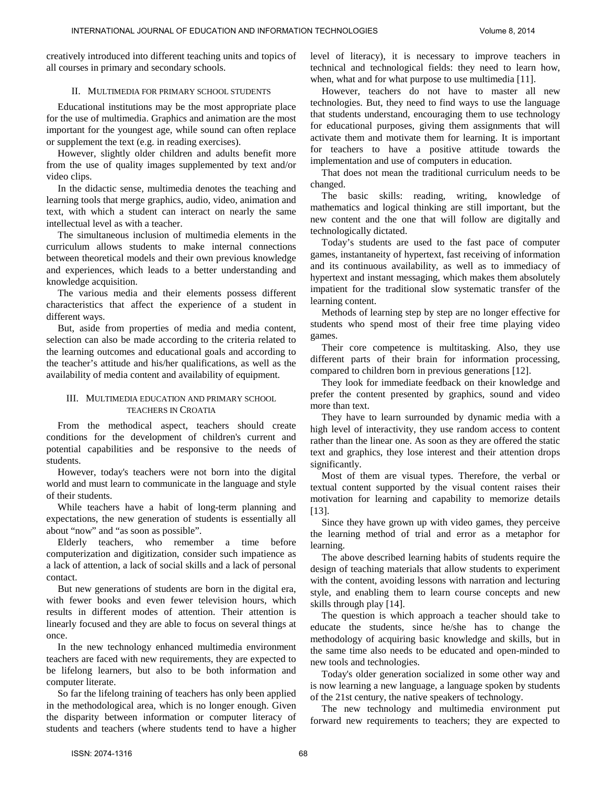creatively introduced into different teaching units and topics of all courses in primary and secondary schools.

#### II. MULTIMEDIA FOR PRIMARY SCHOOL STUDENTS

Educational institutions may be the most appropriate place for the use of multimedia. Graphics and animation are the most important for the youngest age, while sound can often replace or supplement the text (e.g. in reading exercises).

However, slightly older children and adults benefit more from the use of quality images supplemented by text and/or video clips.

In the didactic sense, multimedia denotes the teaching and learning tools that merge graphics, audio, video, animation and text, with which a student can interact on nearly the same intellectual level as with a teacher.

The simultaneous inclusion of multimedia elements in the curriculum allows students to make internal connections between theoretical models and their own previous knowledge and experiences, which leads to a better understanding and knowledge acquisition.

The various media and their elements possess different characteristics that affect the experience of a student in different ways.

But, aside from properties of media and media content, selection can also be made according to the criteria related to the learning outcomes and educational goals and according to the teacher's attitude and his/her qualifications, as well as the availability of media content and availability of equipment.

#### III. MULTIMEDIA EDUCATION AND PRIMARY SCHOOL TEACHERS IN CROATIA

From the methodical aspect, teachers should create conditions for the development of children's current and potential capabilities and be responsive to the needs of students.

However, today's teachers were not born into the digital world and must learn to communicate in the language and style of their students.

While teachers have a habit of long-term planning and expectations, the new generation of students is essentially all about "now" and "as soon as possible".

Elderly teachers, who remember a time before computerization and digitization, consider such impatience as a lack of attention, a lack of social skills and a lack of personal contact.

But new generations of students are born in the digital era, with fewer books and even fewer television hours, which results in different modes of attention. Their attention is linearly focused and they are able to focus on several things at once.

In the new technology enhanced multimedia environment teachers are faced with new requirements, they are expected to be lifelong learners, but also to be both information and computer literate.

So far the lifelong training of teachers has only been applied in the methodological area, which is no longer enough. Given the disparity between information or computer literacy of students and teachers (where students tend to have a higher

level of literacy), it is necessary to improve teachers in technical and technological fields: they need to learn how, when, what and for what purpose to use multimedia [11].

However, teachers do not have to master all new technologies. But, they need to find ways to use the language that students understand, encouraging them to use technology for educational purposes, giving them assignments that will activate them and motivate them for learning. It is important for teachers to have a positive attitude towards the implementation and use of computers in education.

That does not mean the traditional curriculum needs to be changed.

The basic skills: reading, writing, knowledge of mathematics and logical thinking are still important, but the new content and the one that will follow are digitally and technologically dictated.

Today's students are used to the fast pace of computer games, instantaneity of hypertext, fast receiving of information and its continuous availability, as well as to immediacy of hypertext and instant messaging, which makes them absolutely impatient for the traditional slow systematic transfer of the learning content.

Methods of learning step by step are no longer effective for students who spend most of their free time playing video games.

Their core competence is multitasking. Also, they use different parts of their brain for information processing, compared to children born in previous generations [12].

They look for immediate feedback on their knowledge and prefer the content presented by graphics, sound and video more than text.

They have to learn surrounded by dynamic media with a high level of interactivity, they use random access to content rather than the linear one. As soon as they are offered the static text and graphics, they lose interest and their attention drops significantly.

Most of them are visual types. Therefore, the verbal or textual content supported by the visual content raises their motivation for learning and capability to memorize details [13].

Since they have grown up with video games, they perceive the learning method of trial and error as a metaphor for learning.

The above described learning habits of students require the design of teaching materials that allow students to experiment with the content, avoiding lessons with narration and lecturing style, and enabling them to learn course concepts and new skills through play [14].

The question is which approach a teacher should take to educate the students, since he/she has to change the methodology of acquiring basic knowledge and skills, but in the same time also needs to be educated and open-minded to new tools and technologies.

Today's older generation socialized in some other way and is now learning a new language, a language spoken by students of the 21st century, the native speakers of technology.

The new technology and multimedia environment put forward new requirements to teachers; they are expected to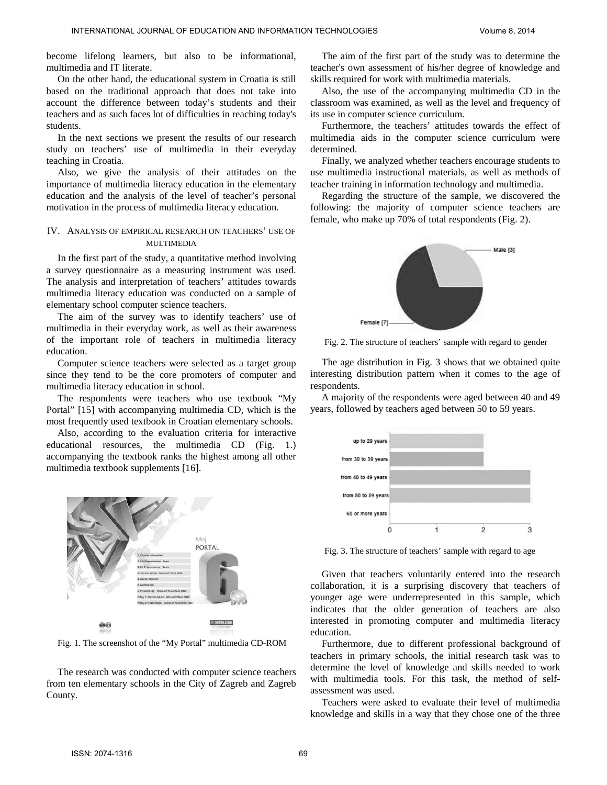become lifelong learners, but also to be informational, multimedia and IT literate.

On the other hand, the educational system in Croatia is still based on the traditional approach that does not take into account the difference between today's students and their teachers and as such faces lot of difficulties in reaching today's students.

In the next sections we present the results of our research study on teachers' use of multimedia in their everyday teaching in Croatia.

Also, we give the analysis of their attitudes on the importance of multimedia literacy education in the elementary education and the analysis of the level of teacher's personal motivation in the process of multimedia literacy education.

#### IV. ANALYSIS OF EMPIRICAL RESEARCH ON TEACHERS' USE OF MULTIMEDIA

In the first part of the study, a quantitative method involving a survey questionnaire as a measuring instrument was used. The analysis and interpretation of teachers' attitudes towards multimedia literacy education was conducted on a sample of elementary school computer science teachers.

The aim of the survey was to identify teachers' use of multimedia in their everyday work, as well as their awareness of the important role of teachers in multimedia literacy education.

Computer science teachers were selected as a target group since they tend to be the core promoters of computer and multimedia literacy education in school.

The respondents were teachers who use textbook "My Portal" [15] with accompanying multimedia CD, which is the most frequently used textbook in Croatian elementary schools.

Also, according to the evaluation criteria for interactive educational resources, the multimedia CD (Fig. 1.) accompanying the textbook ranks the highest among all other multimedia textbook supplements [16].



Fig. 1. The screenshot of the "My Portal" multimedia CD-ROM

The research was conducted with computer science teachers from ten elementary schools in the City of Zagreb and Zagreb County.

The aim of the first part of the study was to determine the teacher's own assessment of his/her degree of knowledge and skills required for work with multimedia materials.

Also, the use of the accompanying multimedia CD in the classroom was examined, as well as the level and frequency of its use in computer science curriculum.

Furthermore, the teachers' attitudes towards the effect of multimedia aids in the computer science curriculum were determined.

Finally, we analyzed whether teachers encourage students to use multimedia instructional materials, as well as methods of teacher training in information technology and multimedia.

Regarding the structure of the sample, we discovered the following: the majority of computer science teachers are female, who make up 70% of total respondents (Fig. 2).



Fig. 2. The structure of teachers' sample with regard to gender

The age distribution in Fig. 3 shows that we obtained quite interesting distribution pattern when it comes to the age of respondents.

A majority of the respondents were aged between 40 and 49 years, followed by teachers aged between 50 to 59 years.



Fig. 3. The structure of teachers' sample with regard to age

Given that teachers voluntarily entered into the research collaboration, it is a surprising discovery that teachers of younger age were underrepresented in this sample, which indicates that the older generation of teachers are also interested in promoting computer and multimedia literacy education.

Furthermore, due to different professional background of teachers in primary schools, the initial research task was to determine the level of knowledge and skills needed to work with multimedia tools. For this task, the method of selfassessment was used.

Teachers were asked to evaluate their level of multimedia knowledge and skills in a way that they chose one of the three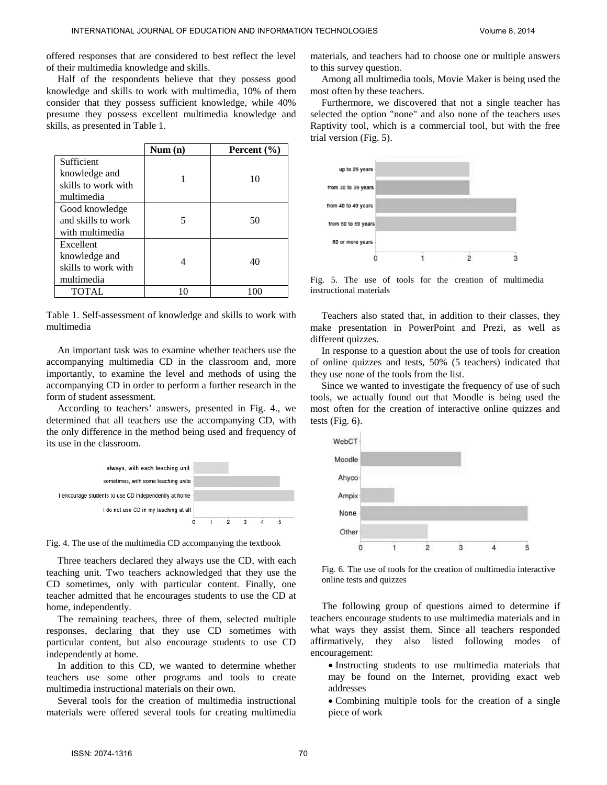offered responses that are considered to best reflect the level of their multimedia knowledge and skills.

Half of the respondents believe that they possess good knowledge and skills to work with multimedia, 10% of them consider that they possess sufficient knowledge, while 40% presume they possess excellent multimedia knowledge and skills, as presented in Table 1.

|                     | Num(n) | Percent $(\% )$ |
|---------------------|--------|-----------------|
| Sufficient          |        |                 |
| knowledge and       |        | 10              |
| skills to work with |        |                 |
| multimedia          |        |                 |
| Good knowledge      |        |                 |
| and skills to work  |        | 50              |
| with multimedia     |        |                 |
| Excellent           |        |                 |
| knowledge and       |        | 40              |
| skills to work with |        |                 |
| multimedia          |        |                 |
| <b>TOTAL</b>        |        |                 |

Table 1. Self-assessment of knowledge and skills to work with multimedia

An important task was to examine whether teachers use the accompanying multimedia CD in the classroom and, more importantly, to examine the level and methods of using the accompanying CD in order to perform a further research in the form of student assessment.

According to teachers' answers, presented in Fig. 4., we determined that all teachers use the accompanying CD, with the only difference in the method being used and frequency of its use in the classroom.



Fig. 4. The use of the multimedia CD accompanying the textbook

Three teachers declared they always use the CD, with each teaching unit. Two teachers acknowledged that they use the CD sometimes, only with particular content. Finally, one teacher admitted that he encourages students to use the CD at home, independently.

The remaining teachers, three of them, selected multiple responses, declaring that they use CD sometimes with particular content, but also encourage students to use CD independently at home.

In addition to this CD, we wanted to determine whether teachers use some other programs and tools to create multimedia instructional materials on their own.

Several tools for the creation of multimedia instructional materials were offered several tools for creating multimedia materials, and teachers had to choose one or multiple answers to this survey question.

Among all multimedia tools, Movie Maker is being used the most often by these teachers.

Furthermore, we discovered that not a single teacher has selected the option "none" and also none of the teachers uses Raptivity tool, which is a commercial tool, but with the free trial version (Fig. 5).



Fig. 5. The use of tools for the creation of multimedia instructional materials

Teachers also stated that, in addition to their classes, they make presentation in PowerPoint and Prezi, as well as different quizzes.

In response to a question about the use of tools for creation of online quizzes and tests, 50% (5 teachers) indicated that they use none of the tools from the list.

Since we wanted to investigate the frequency of use of such tools, we actually found out that Moodle is being used the most often for the creation of interactive online quizzes and tests (Fig. 6).



Fig. 6. The use of tools for the creation of multimedia interactive online tests and quizzes

The following group of questions aimed to determine if teachers encourage students to use multimedia materials and in what ways they assist them. Since all teachers responded affirmatively, they also listed following modes of encouragement:

- Instructing students to use multimedia materials that may be found on the Internet, providing exact web addresses
- Combining multiple tools for the creation of a single piece of work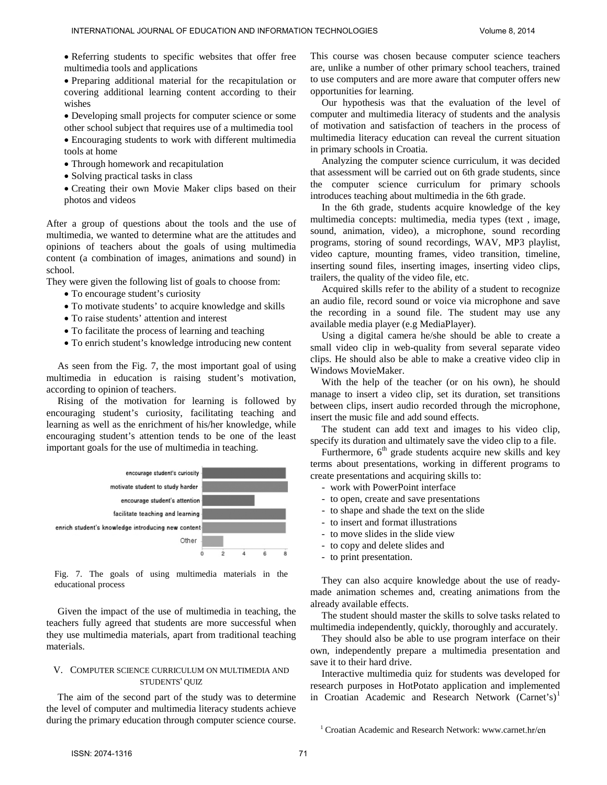• Referring students to specific websites that offer free multimedia tools and applications

• Preparing additional material for the recapitulation or covering additional learning content according to their wishes

- Developing small projects for computer science or some other school subject that requires use of a multimedia tool
- Encouraging students to work with different multimedia tools at home
- Through homework and recapitulation
- Solving practical tasks in class
- Creating their own Movie Maker clips based on their photos and videos

After a group of questions about the tools and the use of multimedia, we wanted to determine what are the attitudes and opinions of teachers about the goals of using multimedia content (a combination of images, animations and sound) in school.

They were given the following list of goals to choose from:

- To encourage student's curiosity
- To motivate students' to acquire knowledge and skills
- To raise students' attention and interest
- To facilitate the process of learning and teaching
- To enrich student's knowledge introducing new content

As seen from the Fig. 7, the most important goal of using multimedia in education is raising student's motivation, according to opinion of teachers.

Rising of the motivation for learning is followed by encouraging student's curiosity, facilitating teaching and learning as well as the enrichment of his/her knowledge, while encouraging student's attention tends to be one of the least important goals for the use of multimedia in teaching.



Fig. 7. The goals of using multimedia materials in the educational process

Given the impact of the use of multimedia in teaching, the teachers fully agreed that students are more successful when they use multimedia materials, apart from traditional teaching materials.

### V. COMPUTER SCIENCE CURRICULUM ON MULTIMEDIA AND STUDENTS' QUIZ

<span id="page-4-0"></span>The aim of the second part of the study was to determine the level of computer and multimedia literacy students achieve during the primary education through computer science course. This course was chosen because computer science teachers are, unlike a number of other primary school teachers, trained to use computers and are more aware that computer offers new opportunities for learning.

Our hypothesis was that the evaluation of the level of computer and multimedia literacy of students and the analysis of motivation and satisfaction of teachers in the process of multimedia literacy education can reveal the current situation in primary schools in Croatia.

Analyzing the computer science curriculum, it was decided that assessment will be carried out on 6th grade students, since the computer science curriculum for primary schools introduces teaching about multimedia in the 6th grade.

In the 6th grade, students acquire knowledge of the key multimedia concepts: multimedia, media types (text , image, sound, animation, video), a microphone, sound recording programs, storing of sound recordings, WAV, MP3 playlist, video capture, mounting frames, video transition, timeline, inserting sound files, inserting images, inserting video clips, trailers, the quality of the video file, etc.

Acquired skills refer to the ability of a student to recognize an audio file, record sound or voice via microphone and save the recording in a sound file. The student may use any available media player (e.g MediaPlayer).

Using a digital camera he/she should be able to create a small video clip in web-quality from several separate video clips. He should also be able to make a creative video clip in Windows MovieMaker.

With the help of the teacher (or on his own), he should manage to insert a video clip, set its duration, set transitions between clips, insert audio recorded through the microphone, insert the music file and add sound effects.

The student can add text and images to his video clip, specify its duration and ultimately save the video clip to a file.

Furthermore,  $6<sup>th</sup>$  grade students acquire new skills and key terms about presentations, working in different programs to create presentations and acquiring skills to:

- work with PowerPoint interface
- to open, create and save presentations
- to shape and shade the text on the slide
- to insert and format illustrations
- to move slides in the slide view
- to copy and delete slides and
- to print presentation.

They can also acquire knowledge about the use of readymade animation schemes and, creating animations from the already available effects.

The student should master the skills to solve tasks related to multimedia independently, quickly, thoroughly and accurately.

They should also be able to use program interface on their own, independently prepare a multimedia presentation and save it to their hard drive.

Interactive multimedia quiz for students was developed for research purposes in HotPotato application and implemented in Croatian Academic and Research Network  $(Carnet's)^1$  $(Carnet's)^1$ 

<sup>&</sup>lt;sup>1</sup> Croatian Academic and Research Network: www.carnet.hr/en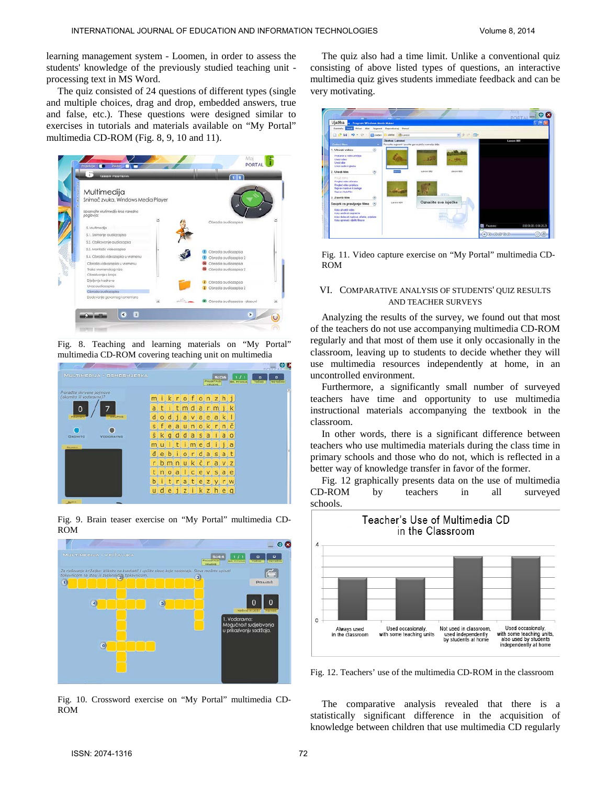learning management system - Loomen, in order to assess the students' knowledge of the previously studied teaching unit processing text in MS Word.

The quiz consisted of 24 questions of different types (single and multiple choices, drag and drop, embedded answers, true and false, etc.). These questions were designed similar to exercises in tutorials and materials available on "My Portal" multimedia CD-ROM (Fig. 8, 9, 10 and 11).



Fig. 8. Teaching and learning materials on "My Portal" multimedia CD-ROM covering teaching unit on multimedia



Fig. 9. Brain teaser exercise on "My Portal" multimedia CD-ROM



Fig. 10. Crossword exercise on "My Portal" multimedia CD-ROM

The quiz also had a time limit. Unlike a conventional quiz consisting of above listed types of questions, an interactive multimedia quiz gives students immediate feedback and can be very motivating.

| Vježba n - Pregram Windows Movie Maker                                                                                                   |                                            |                                                     |            |             | PORTAL -IOC<br><b>C D</b> |
|------------------------------------------------------------------------------------------------------------------------------------------|--------------------------------------------|-----------------------------------------------------|------------|-------------|---------------------------|
| Datotela Uzol Frikat Alat Segment Reproducted Pomoć                                                                                      |                                            |                                                     |            |             |                           |
| $\begin{array}{c} 1 & \mathbf{1} & \mathbf{1} & \mathbf{1} \\ 0 & \mathbf{1} & \mathbf{1} & \mathbf{1} \end{array}$                      | <b>El Zedaci</b><br>Zieke<br><b>BLEVON</b> |                                                     | 光度 三 間一    |             |                           |
| Zaberi Men                                                                                                                               | Zbirke: Levovi                             | Forucle segment i spunke ga na ploču scenaria dole. |            | Lavorei 001 |                           |
| 1. Ulivati video                                                                                                                         | $\langle \hat{n} \rangle$                  | <b>CONTRACTOR</b>                                   |            |             |                           |
| Hystarax iz video unedica<br><b>Lived Was</b><br><b>Uvenida</b><br>Livest audio & glazbu                                                 |                                            | <b>Contract</b>                                     |            |             |                           |
| 2. Usedi film                                                                                                                            | ۵                                          | Levest 000                                          | Lincol 000 |             |                           |
| Private direct<br><b>Fragist video efekata</b><br><b>Practicel video produce</b><br><b>Napravi naskve il zaskoje</b><br>Nacrosi Autorian |                                            |                                                     |            |             |                           |
| 3. Zevrši tim                                                                                                                            | w                                          | <b>FEEDS</b>                                        |            |             |                           |
| Savjeti za pravljenje tilma                                                                                                              | <b>Elevene OD4</b><br>(n)                  | Označite sve isječke                                |            |             |                           |
| Kalikudniego veden<br>A alia unadivati segmente<br>Kako dodavati nadove, afakte, prodate<br>Kalu sprenyd i djeliti filmive               |                                            |                                                     |            | Pactoro     | 000000/000229             |

Fig. 11. Video capture exercise on "My Portal" multimedia CD-ROM

#### VI. COMPARATIVE ANALYSIS OF STUDENTS' QUIZ RESULTS AND TEACHER SURVEYS

Analyzing the results of the survey, we found out that most of the teachers do not use accompanying multimedia CD-ROM regularly and that most of them use it only occasionally in the classroom, leaving up to students to decide whether they will use multimedia resources independently at home, in an uncontrolled environment.

Furthermore, a significantly small number of surveyed teachers have time and opportunity to use multimedia instructional materials accompanying the textbook in the classroom.

In other words, there is a significant difference between teachers who use multimedia materials during the class time in primary schools and those who do not, which is reflected in a better way of knowledge transfer in favor of the former.

Fig. 12 graphically presents data on the use of multimedia CD-ROM by teachers in all surveyed schools.



Fig. 12. Teachers' use of the multimedia CD-ROM in the classroom

The comparative analysis revealed that there is a statistically significant difference in the acquisition of knowledge between children that use multimedia CD regularly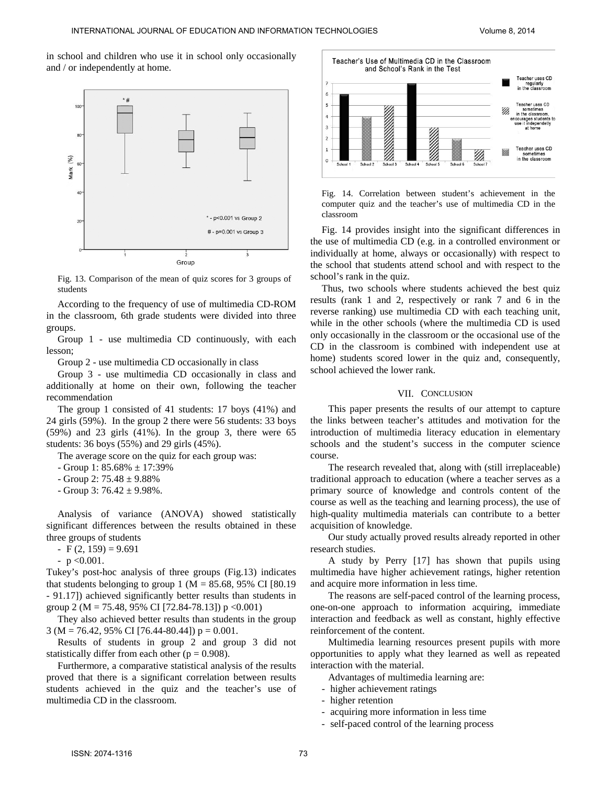in school and children who use it in school only occasionally and / or independently at home.



Fig. 13. Comparison of the mean of quiz scores for 3 groups of students

According to the frequency of use of multimedia CD-ROM in the classroom, 6th grade students were divided into three groups.

Group 1 - use multimedia CD continuously, with each lesson;

Group 2 - use multimedia CD occasionally in class

Group 3 - use multimedia CD occasionally in class and additionally at home on their own, following the teacher recommendation

The group 1 consisted of 41 students: 17 boys (41%) and 24 girls (59%). In the group 2 there were 56 students: 33 boys (59%) and 23 girls (41%). In the group 3, there were 65 students: 36 boys (55%) and 29 girls (45%).

The average score on the quiz for each group was:

- Group 1: 85.68% ± 17:39%
- $-$  Group 2: 75.48  $\pm$  9.88%
- Group 3:  $76.42 \pm 9.98\%$ .

Analysis of variance (ANOVA) showed statistically significant differences between the results obtained in these three groups of students

- $-F(2, 159) = 9.691$
- $-p < 0.001$ .

Tukey's post-hoc analysis of three groups (Fig.13) indicates that students belonging to group 1 ( $M = 85.68$ , 95% CI [80.19 - 91.17]) achieved significantly better results than students in group 2 (M = 75.48, 95% CI [72.84-78.13]) p < 0.001)

They also achieved better results than students in the group  $3 (M = 76.42, 95\% \text{ CI} [76.44 - 80.44]) p = 0.001.$ 

Results of students in group 2 and group 3 did not statistically differ from each other ( $p = 0.908$ ).

Furthermore, a comparative statistical analysis of the results proved that there is a significant correlation between results students achieved in the quiz and the teacher's use of multimedia CD in the classroom.



Fig. 14. Correlation between student's achievement in the computer quiz and the teacher's use of multimedia CD in the classroom

Fig. 14 provides insight into the significant differences in the use of multimedia CD (e.g. in a controlled environment or individually at home, always or occasionally) with respect to the school that students attend school and with respect to the school's rank in the quiz.

Thus, two schools where students achieved the best quiz results (rank 1 and 2, respectively or rank 7 and 6 in the reverse ranking) use multimedia CD with each teaching unit, while in the other schools (where the multimedia CD is used only occasionally in the classroom or the occasional use of the CD in the classroom is combined with independent use at home) students scored lower in the quiz and, consequently, school achieved the lower rank.

## VII. CONCLUSION

This paper presents the results of our attempt to capture the links between teacher's attitudes and motivation for the introduction of multimedia literacy education in elementary schools and the student's success in the computer science course.

The research revealed that, along with (still irreplaceable) traditional approach to education (where a teacher serves as a primary source of knowledge and controls content of the course as well as the teaching and learning process), the use of high-quality multimedia materials can contribute to a better acquisition of knowledge.

Our study actually proved results already reported in other research studies.

A study by Perry [17] has shown that pupils using multimedia have higher achievement ratings, higher retention and acquire more information in less time.

The reasons are self-paced control of the learning process, one-on-one approach to information acquiring, immediate interaction and feedback as well as constant, highly effective reinforcement of the content.

Multimedia learning resources present pupils with more opportunities to apply what they learned as well as repeated interaction with the material.

Advantages of multimedia learning are:

- higher achievement ratings
- higher retention
- acquiring more information in less time
- self-paced control of the learning process